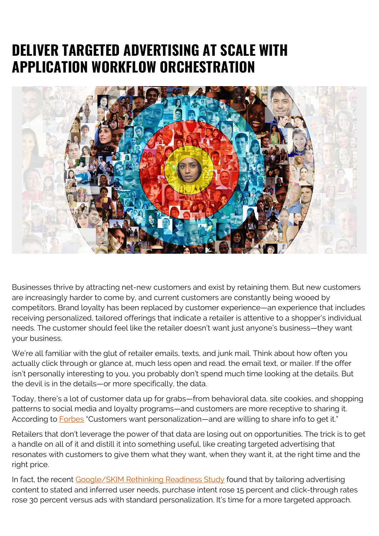## **DELIVER TARGETED ADVERTISING AT SCALE WITH APPLICATION WORKFLOW ORCHESTRATION**



Businesses thrive by attracting net-new customers and exist by retaining them. But new customers are increasingly harder to come by, and current customers are constantly being wooed by competitors. Brand loyalty has been replaced by customer experience—an experience that includes receiving personalized, tailored offerings that indicate a retailer is attentive to a shopper's individual needs. The customer should feel like the retailer doesn't want just anyone's business—they want your business.

We're all familiar with the glut of retailer emails, texts, and junk mail. Think about how often you actually click through or glance at, much less open and read. the email text, or mailer. If the offer isn't personally interesting to you, you probably don't spend much time looking at the details. But the devil is in the details—or more specifically, the data.

Today, there's a lot of customer data up for grabs—from behavioral data, site cookies, and shopping patterns to social media and loyalty programs—and customers are more receptive to sharing it. According to **Forbes** "Customers want personalization—and are willing to share info to get it."

Retailers that don't leverage the power of that data are losing out on opportunities. The trick is to get a handle on all of it and distill it into something useful, like creating targeted advertising that resonates with customers to give them what they want, when they want it, at the right time and the right price.

In fact, the recent [Google/SKIM Rethinking Readiness Study](https://www.thinkwithgoogle.com/consumer-insights/consumer-trends/new-research-on-advertising-automation/) found that by tailoring advertising content to stated and inferred user needs, purchase intent rose 15 percent and click-through rates rose 30 percent versus ads with standard personalization. It's time for a more targeted approach.